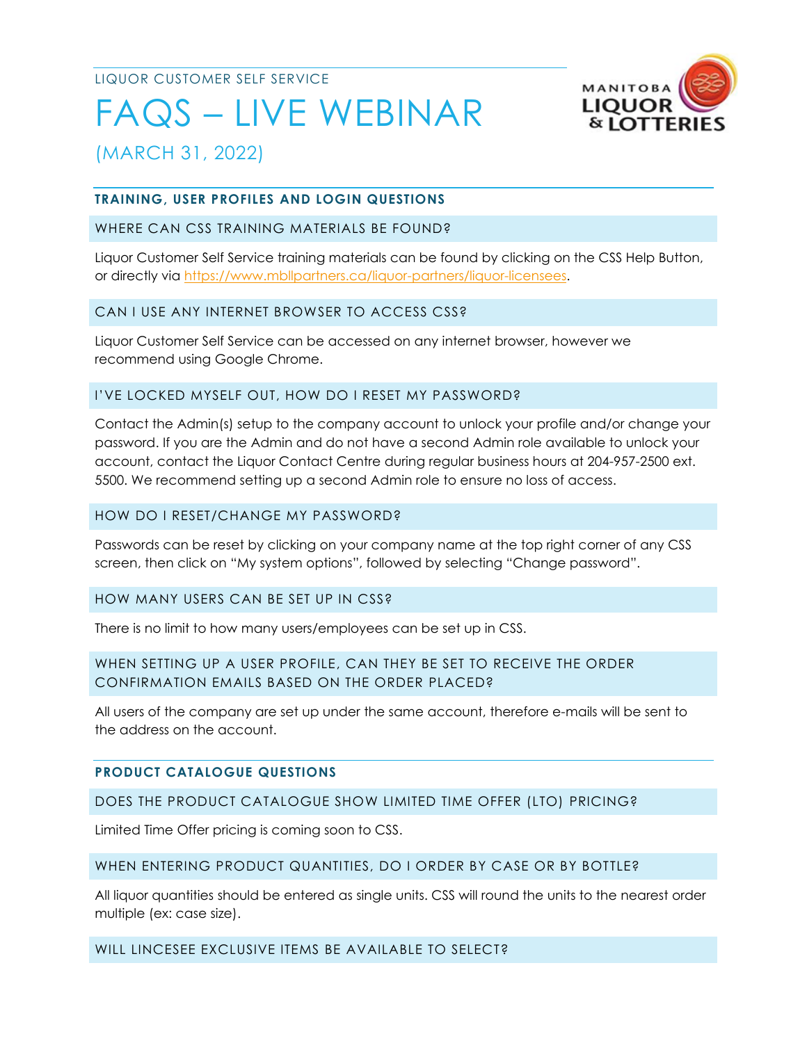LIQUOR CUSTOMER SELF SERVICE

# FAQS – LIVE WEBINAR



(MARCH 31, 2022)

# **TRAINING, USER PROFILES AND LOGIN QUESTIONS**

# WHERE CAN CSS TRAINING MATERIALS BE FOUND?

Liquor Customer Self Service training materials can be found by clicking on the CSS Help Button, or directly via [https://www.mbllpartners.ca/liquor-partners/liquor-licensees.](https://www.mbllpartners.ca/liquor-partners/liquor-licensees)

# CAN I USE ANY INTERNET BROWSER TO ACCESS CSS?

Liquor Customer Self Service can be accessed on any internet browser, however we recommend using Google Chrome.

# I'VE LOCKED MYSELF OUT, HOW DO I RESET MY PASSWORD?

Contact the Admin(s) setup to the company account to unlock your profile and/or change your password. If you are the Admin and do not have a second Admin role available to unlock your account, contact the Liquor Contact Centre during regular business hours at 204-957-2500 ext. 5500. We recommend setting up a second Admin role to ensure no loss of access.

## HOW DO I RESET/CHANGE MY PASSWORD?

Passwords can be reset by clicking on your company name at the top right corner of any CSS screen, then click on "My system options", followed by selecting "Change password".

# HOW MANY USERS CAN BE SET UP IN CSS?

There is no limit to how many users/employees can be set up in CSS.

# WHEN SETTING UP A USER PROFILE, CAN THEY BE SET TO RECEIVE THE ORDER CONFIRMATION EMAILS BASED ON THE ORDER PLACED?

All users of the company are set up under the same account, therefore e-mails will be sent to the address on the account.

# **PRODUCT CATALOGUE QUESTIONS**

# DOES THE PRODUCT CATALOGUE SHOW LIMITED TIME OFFER (LTO) PRICING?

Limited Time Offer pricing is coming soon to CSS.

# WHEN ENTERING PRODUCT QUANTITIES, DO I ORDER BY CASE OR BY BOTTLE?

All liquor quantities should be entered as single units. CSS will round the units to the nearest order multiple (ex: case size).

# WILL LINCESEE EXCLUSIVE ITEMS BE AVAILABLE TO SELECT?